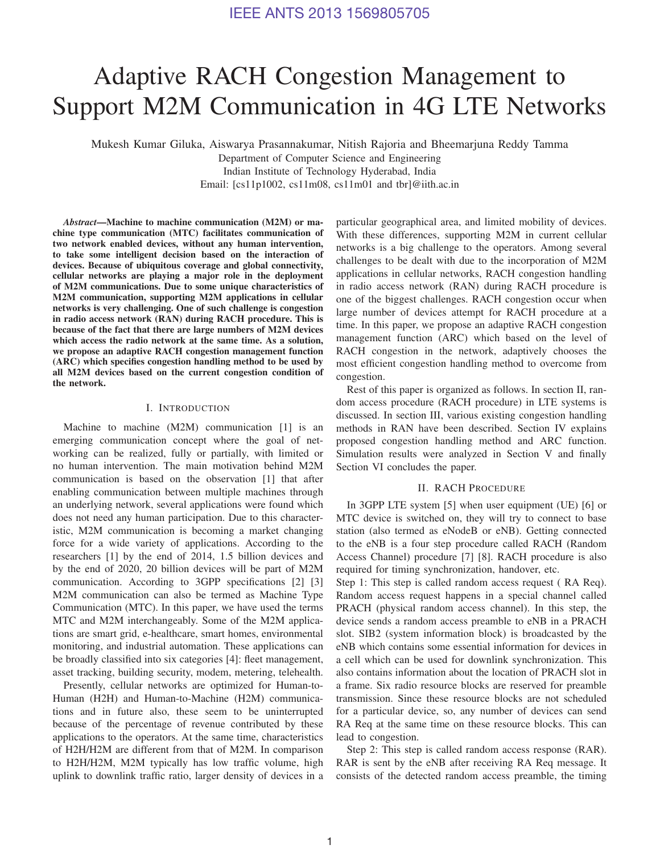# Adaptive RACH Congestion Management to Support M2M Communication in 4G LTE Networks

Mukesh Kumar Giluka, Aiswarya Prasannakumar, Nitish Rajoria and Bheemarjuna Reddy Tamma

Department of Computer Science and Engineering Indian Institute of Technology Hyderabad, India Email: [cs11p1002, cs11m08, cs11m01 and tbr]@iith.ac.in

*Abstract*—Machine to machine communication (M2M) or machine type communication (MTC) facilitates communication of two network enabled devices, without any human intervention, to take some intelligent decision based on the interaction of devices. Because of ubiquitous coverage and global connectivity, cellular networks are playing a major role in the deployment of M2M communications. Due to some unique characteristics of M2M communication, supporting M2M applications in cellular networks is very challenging. One of such challenge is congestion in radio access network (RAN) during RACH procedure. This is because of the fact that there are large numbers of M2M devices which access the radio network at the same time. As a solution, we propose an adaptive RACH congestion management function (ARC) which specifies congestion handling method to be used by all M2M devices based on the current congestion condition of the network.

# I. INTRODUCTION

Machine to machine (M2M) communication [1] is an emerging communication concept where the goal of networking can be realized, fully or partially, with limited or no human intervention. The main motivation behind M2M communication is based on the observation [1] that after enabling communication between multiple machines through an underlying network, several applications were found which does not need any human participation. Due to this characteristic, M2M communication is becoming a market changing force for a wide variety of applications. According to the researchers [1] by the end of 2014, 1.5 billion devices and by the end of 2020, 20 billion devices will be part of M2M communication. According to 3GPP specifications [2] [3] M2M communication can also be termed as Machine Type Communication (MTC). In this paper, we have used the terms MTC and M2M interchangeably. Some of the M2M applications are smart grid, e-healthcare, smart homes, environmental monitoring, and industrial automation. These applications can be broadly classified into six categories [4]: fleet management, asset tracking, building security, modem, metering, telehealth.

Presently, cellular networks are optimized for Human-to-Human (H2H) and Human-to-Machine (H2M) communications and in future also, these seem to be uninterrupted because of the percentage of revenue contributed by these applications to the operators. At the same time, characteristics of H2H/H2M are different from that of M2M. In comparison to H2H/H2M, M2M typically has low traffic volume, high uplink to downlink traffic ratio, larger density of devices in a particular geographical area, and limited mobility of devices. With these differences, supporting M2M in current cellular networks is a big challenge to the operators. Among several challenges to be dealt with due to the incorporation of M2M applications in cellular networks, RACH congestion handling in radio access network (RAN) during RACH procedure is one of the biggest challenges. RACH congestion occur when large number of devices attempt for RACH procedure at a time. In this paper, we propose an adaptive RACH congestion management function (ARC) which based on the level of RACH congestion in the network, adaptively chooses the most efficient congestion handling method to overcome from congestion.

Rest of this paper is organized as follows. In section II, random access procedure (RACH procedure) in LTE systems is discussed. In section III, various existing congestion handling methods in RAN have been described. Section IV explains proposed congestion handling method and ARC function. Simulation results were analyzed in Section V and finally Section VI concludes the paper.

#### II. RACH PROCEDURE

In 3GPP LTE system [5] when user equipment (UE) [6] or MTC device is switched on, they will try to connect to base station (also termed as eNodeB or eNB). Getting connected to the eNB is a four step procedure called RACH (Random Access Channel) procedure [7] [8]. RACH procedure is also required for timing synchronization, handover, etc.

Step 1: This step is called random access request ( RA Req). Random access request happens in a special channel called PRACH (physical random access channel). In this step, the device sends a random access preamble to eNB in a PRACH slot. SIB2 (system information block) is broadcasted by the eNB which contains some essential information for devices in a cell which can be used for downlink synchronization. This also contains information about the location of PRACH slot in a frame. Six radio resource blocks are reserved for preamble transmission. Since these resource blocks are not scheduled for a particular device, so, any number of devices can send RA Req at the same time on these resource blocks. This can lead to congestion.

Step 2: This step is called random access response (RAR). RAR is sent by the eNB after receiving RA Req message. It consists of the detected random access preamble, the timing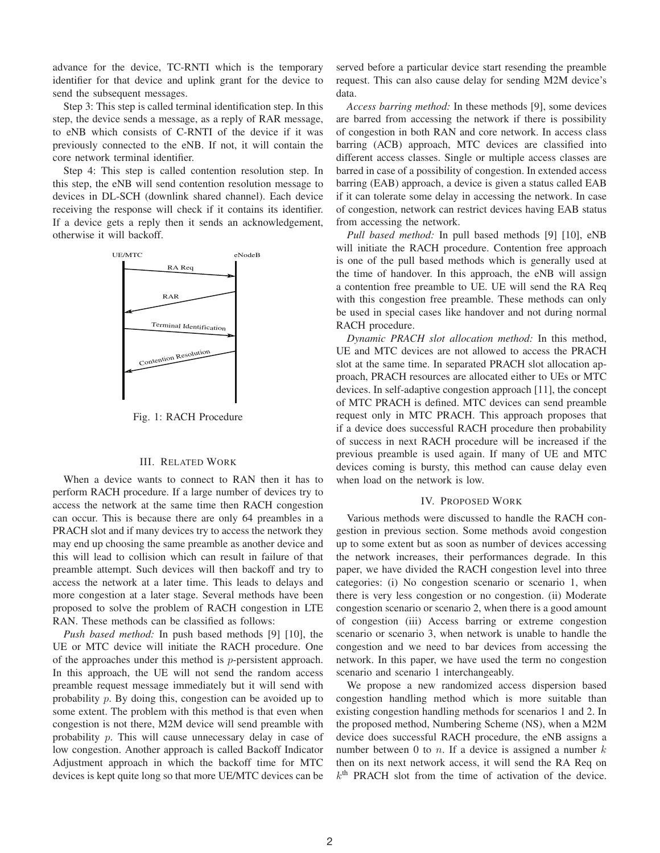advance for the device, TC-RNTI which is the temporary identifier for that device and uplink grant for the device to send the subsequent messages.

Step 3: This step is called terminal identification step. In this step, the device sends a message, as a reply of RAR message, to eNB which consists of C-RNTI of the device if it was previously connected to the eNB. If not, it will contain the core network terminal identifier.

Step 4: This step is called contention resolution step. In this step, the eNB will send contention resolution message to devices in DL-SCH (downlink shared channel). Each device receiving the response will check if it contains its identifier. If a device gets a reply then it sends an acknowledgement, otherwise it will backoff.



Fig. 1: RACH Procedure

# III. RELATED WORK

When a device wants to connect to RAN then it has to perform RACH procedure. If a large number of devices try to access the network at the same time then RACH congestion can occur. This is because there are only 64 preambles in a PRACH slot and if many devices try to access the network they may end up choosing the same preamble as another device and this will lead to collision which can result in failure of that preamble attempt. Such devices will then backoff and try to access the network at a later time. This leads to delays and more congestion at a later stage. Several methods have been proposed to solve the problem of RACH congestion in LTE RAN. These methods can be classified as follows:

*Push based method:* In push based methods [9] [10], the UE or MTC device will initiate the RACH procedure. One of the approaches under this method is p-persistent approach. In this approach, the UE will not send the random access preamble request message immediately but it will send with probability p. By doing this, congestion can be avoided up to some extent. The problem with this method is that even when congestion is not there, M2M device will send preamble with probability  $p$ . This will cause unnecessary delay in case of low congestion. Another approach is called Backoff Indicator Adjustment approach in which the backoff time for MTC devices is kept quite long so that more UE/MTC devices can be served before a particular device start resending the preamble request. This can also cause delay for sending M2M device's data.

*Access barring method:* In these methods [9], some devices are barred from accessing the network if there is possibility of congestion in both RAN and core network. In access class barring (ACB) approach, MTC devices are classified into different access classes. Single or multiple access classes are barred in case of a possibility of congestion. In extended access barring (EAB) approach, a device is given a status called EAB if it can tolerate some delay in accessing the network. In case of congestion, network can restrict devices having EAB status from accessing the network.

*Pull based method:* In pull based methods [9] [10], eNB will initiate the RACH procedure. Contention free approach is one of the pull based methods which is generally used at the time of handover. In this approach, the eNB will assign a contention free preamble to UE. UE will send the RA Req with this congestion free preamble. These methods can only be used in special cases like handover and not during normal RACH procedure.

*Dynamic PRACH slot allocation method:* In this method, UE and MTC devices are not allowed to access the PRACH slot at the same time. In separated PRACH slot allocation approach, PRACH resources are allocated either to UEs or MTC devices. In self-adaptive congestion approach [11], the concept of MTC PRACH is defined. MTC devices can send preamble request only in MTC PRACH. This approach proposes that if a device does successful RACH procedure then probability of success in next RACH procedure will be increased if the previous preamble is used again. If many of UE and MTC devices coming is bursty, this method can cause delay even when load on the network is low.

#### IV. PROPOSED WORK

Various methods were discussed to handle the RACH congestion in previous section. Some methods avoid congestion up to some extent but as soon as number of devices accessing the network increases, their performances degrade. In this paper, we have divided the RACH congestion level into three categories: (i) No congestion scenario or scenario 1, when there is very less congestion or no congestion. (ii) Moderate congestion scenario or scenario 2, when there is a good amount of congestion (iii) Access barring or extreme congestion scenario or scenario 3, when network is unable to handle the congestion and we need to bar devices from accessing the network. In this paper, we have used the term no congestion scenario and scenario 1 interchangeably.

We propose a new randomized access dispersion based congestion handling method which is more suitable than existing congestion handling methods for scenarios 1 and 2. In the proposed method, Numbering Scheme (NS), when a M2M device does successful RACH procedure, the eNB assigns a number between 0 to n. If a device is assigned a number  $k$ then on its next network access, it will send the RA Req on  $k<sup>th</sup>$  PRACH slot from the time of activation of the device.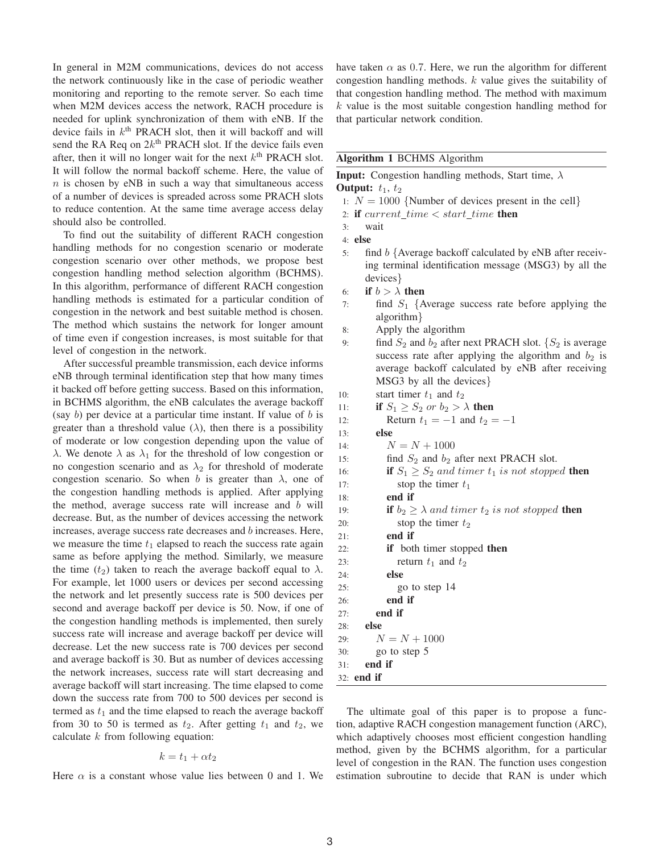In general in M2M communications, devices do not access the network continuously like in the case of periodic weather monitoring and reporting to the remote server. So each time when M2M devices access the network, RACH procedure is needed for uplink synchronization of them with eNB. If the device fails in  $k<sup>th</sup>$  PRACH slot, then it will backoff and will send the RA Req on  $2k^{\text{th}}$  PRACH slot. If the device fails even after, then it will no longer wait for the next  $k<sup>th</sup>$  PRACH slot. It will follow the normal backoff scheme. Here, the value of  $n$  is chosen by eNB in such a way that simultaneous access of a number of devices is spreaded across some PRACH slots to reduce contention. At the same time average access delay should also be controlled.

To find out the suitability of different RACH congestion handling methods for no congestion scenario or moderate congestion scenario over other methods, we propose best congestion handling method selection algorithm (BCHMS). In this algorithm, performance of different RACH congestion handling methods is estimated for a particular condition of congestion in the network and best suitable method is chosen. The method which sustains the network for longer amount of time even if congestion increases, is most suitable for that level of congestion in the network.

After successful preamble transmission, each device informs eNB through terminal identification step that how many times it backed off before getting success. Based on this information, in BCHMS algorithm, the eNB calculates the average backoff (say  $b$ ) per device at a particular time instant. If value of  $b$  is greater than a threshold value  $(\lambda)$ , then there is a possibility of moderate or low congestion depending upon the value of  $\lambda$ . We denote  $\lambda$  as  $\lambda_1$  for the threshold of low congestion or no congestion scenario and as  $\lambda_2$  for threshold of moderate congestion scenario. So when b is greater than  $\lambda$ , one of the congestion handling methods is applied. After applying the method, average success rate will increase and  $b$  will decrease. But, as the number of devices accessing the network increases, average success rate decreases and b increases. Here, we measure the time  $t_1$  elapsed to reach the success rate again same as before applying the method. Similarly, we measure the time ( $t_2$ ) taken to reach the average backoff equal to  $\lambda$ . For example, let 1000 users or devices per second accessing the network and let presently success rate is 500 devices per second and average backoff per device is 50. Now, if one of the congestion handling methods is implemented, then surely success rate will increase and average backoff per device will decrease. Let the new success rate is 700 devices per second and average backoff is 30. But as number of devices accessing the network increases, success rate will start decreasing and average backoff will start increasing. The time elapsed to come down the success rate from 700 to 500 devices per second is termed as  $t_1$  and the time elapsed to reach the average backoff from 30 to 50 is termed as  $t_2$ . After getting  $t_1$  and  $t_2$ , we calculate  $k$  from following equation:

$$
k = t_1 + \alpha t_2
$$

Here  $\alpha$  is a constant whose value lies between 0 and 1. We

have taken  $\alpha$  as 0.7. Here, we run the algorithm for different congestion handling methods. k value gives the suitability of that congestion handling method. The method with maximum  $k$  value is the most suitable congestion handling method for that particular network condition.

| <b>Algorithm 1 BCHMS Algorithm</b> |  |  |  |
|------------------------------------|--|--|--|
|------------------------------------|--|--|--|

**Input:** Congestion handling methods, Start time,  $\lambda$ 

Output:  $t_1$ ,  $t_2$ 

- 1:  $N = 1000$  {Number of devices present in the cell}
- 2: if  $current\_time < start\_time$  then

```
3: wait
```
4: else

- 5: find b {Average backoff calculated by eNB after receiving terminal identification message (MSG3) by all the devices}
- 6: if  $b > \lambda$  then
- 7: find  $S_1$  {Average success rate before applying the algorithm}
- 8: Apply the algorithm
- 9: find  $S_2$  and  $b_2$  after next PRACH slot. { $S_2$  is average success rate after applying the algorithm and  $b_2$  is average backoff calculated by eNB after receiving MSG3 by all the devices}
- 10: start timer  $t_1$  and  $t_2$

| IU. | start timer $v_1$ and $v_2$                                             |
|-----|-------------------------------------------------------------------------|
| 11: | if $S_1 \geq S_2$ or $b_2 > \lambda$ then                               |
| 12: | Return $t_1 = -1$ and $t_2 = -1$                                        |
| 13: | else                                                                    |
| 14: | $N = N + 1000$                                                          |
| 15: | find $S_2$ and $b_2$ after next PRACH slot.                             |
| 16: | <b>if</b> $S_1 \geq S_2$ and timer $t_1$ is not stopped <b>then</b>     |
| 17: | stop the timer $t_1$                                                    |
| 18: | end if                                                                  |
| 19: | <b>if</b> $b_2 \geq \lambda$ and timer $t_2$ is not stopped <b>then</b> |
| 20: | stop the timer $t_2$                                                    |
| 21: | end if                                                                  |
| 22: | <b>if</b> both timer stopped <b>then</b>                                |
| 23: | return $t_1$ and $t_2$                                                  |
| 24: | else                                                                    |
| 25: | go to step 14                                                           |
| 26: | end if                                                                  |
| 27: | end if                                                                  |
| 28: | else                                                                    |
| 29: | $N = N + 1000$                                                          |
| 30: | go to step 5                                                            |
| 31: | end if                                                                  |
|     | $32:$ end if                                                            |
|     |                                                                         |

The ultimate goal of this paper is to propose a function, adaptive RACH congestion management function (ARC), which adaptively chooses most efficient congestion handling method, given by the BCHMS algorithm, for a particular level of congestion in the RAN. The function uses congestion estimation subroutine to decide that RAN is under which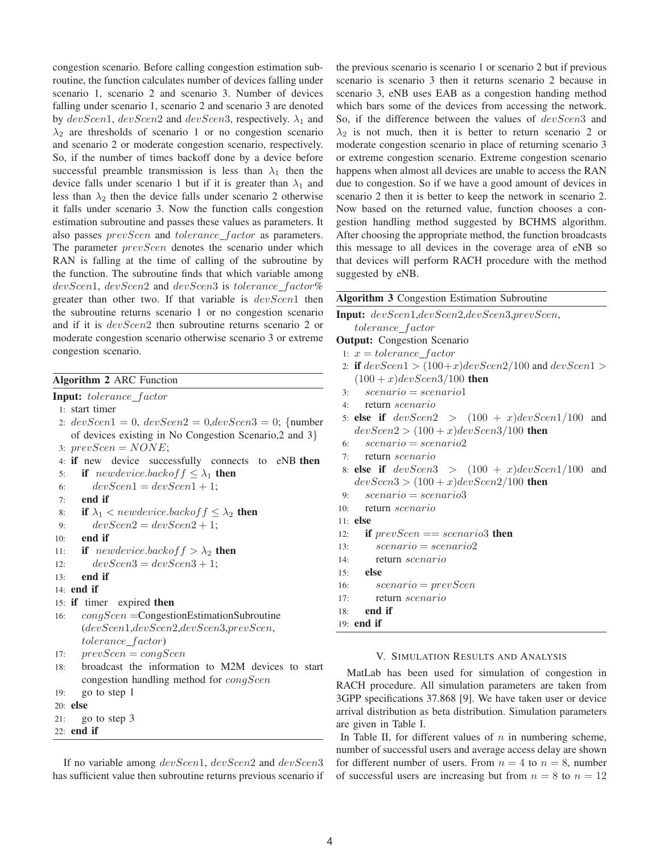congestion scenario. Before calling congestion estimation subroutine, the function calculates number of devices falling under scenario 1, scenario 2 and scenario 3. Number of devices falling under scenario 1, scenario 2 and scenario 3 are denoted by  $devScen1$ ,  $devScen2$  and  $devScen3$ , respectively.  $\lambda_1$  and  $\lambda_2$  are thresholds of scenario 1 or no congestion scenario and scenario 2 or moderate congestion scenario, respectively. So, if the number of times backoff done by a device before successful preamble transmission is less than  $\lambda_1$  then the device falls under scenario 1 but if it is greater than  $\lambda_1$  and less than  $\lambda_2$  then the device falls under scenario 2 otherwise it falls under scenario 3. Now the function calls congestion estimation subroutine and passes these values as parameters. It also passes *prevScen* and *tolerance\_factor* as parameters. The parameter *prevScen* denotes the scenario under which RAN is falling at the time of calling of the subroutine by the function. The subroutine finds that which variable among  $devScen1, devScen2$  and  $devScen3$  is tolerance factor% greater than other two. If that variable is  $devScen1$  then the subroutine returns scenario 1 or no congestion scenario and if it is  $devScen2$  then subroutine returns scenario 2 or moderate congestion scenario otherwise scenario 3 or extreme congestion scenario.

# Algorithm 2 ARC Function

Input: tolerance\_factor

1: start timer

2:  $devScen1=0$ ,  $devScen2=0$ , $devScen3=0$ ; {number of devices existing in No Congestion Scenario,2 and 3} 3:  $prevSeen = NONE;$ 

4: if new device successfully connects to eNB then

5: if *newdevice.backoff*  $\leq \lambda_1$  then 6:  $devScen1 = devScen1 + 1;$ 

```
7: end if
```

```
8: if \lambda_1 < newdevice.backof f \leq \lambda_2 then
```
- 9:  $devScen2 = devScen2 + 1;$
- 10: end if

```
11: if newdevice.backoff > \lambda_2 then
```

```
12: devScen3 = devScen3 + 1;
```

```
13: end if
```

```
14: end if
```

```
15: if timer expired then
```

```
16: cong cong Cong<i>Seen</i> = CongestionEstimationSubroutine(devScen1,devScen2,devScen3,prevScen,
tolerance f actor)
```

```
17: prevScen = conqScen
```
18: broadcast the information to M2M devices to start congestion handling method for congScen

```
19: go to step 1
```

```
20: else
```

```
21: go to step 3
```

```
22: end if
```
If no variable among  $devScen1$ ,  $devScen2$  and  $devScen3$ has sufficient value then subroutine returns previous scenario if the previous scenario is scenario 1 or scenario 2 but if previous scenario is scenario 3 then it returns scenario 2 because in scenario 3, eNB uses EAB as a congestion handing method which bars some of the devices from accessing the network. So, if the difference between the values of  $devScen3$  and  $\lambda_2$  is not much, then it is better to return scenario 2 or moderate congestion scenario in place of returning scenario 3 or extreme congestion scenario. Extreme congestion scenario happens when almost all devices are unable to access the RAN due to congestion. So if we have a good amount of devices in scenario 2 then it is better to keep the network in scenario 2. Now based on the returned value, function chooses a congestion handling method suggested by BCHMS algorithm. After choosing the appropriate method, the function broadcasts this message to all devices in the coverage area of eNB so that devices will perform RACH procedure with the method suggested by eNB.

|  |  | <b>Algorithm 3 Congestion Estimation Subroutine</b> |
|--|--|-----------------------------------------------------|

Input: devScen1,devScen2,devScen3,prevScen,  $tolerance\_factor$ **Output:** Congestion Scenario 1:  $x = tolerance\_factor$ 2: if  $devScen1 > (100+x)devScen2/100$  and  $devScen1 >$  $(100 + x)$ devScen3/100 then  $3: *scenario = scenario1*$ 4: return scenario 5: else if  $devScen2 > (100 + x)devScen1/100$  and  $devScen2 > (100 + x)devScen3/100$  then 6:  $scenario = scenario2$ 7: return scenario 8: else if  $devScen3$  >  $(100 + x)devScen1/100$  and  $devScen3 > (100 + x)devScen2/100$  then 9:  $scenario = scenario3$ 10: return scenario  $11:$  else 12: if  $prevSeen == scenario3$  then 13:  $scenario = scenario2$ 14: return scenario 15: else 16:  $scenario = prevScen$ 17: return scenario 18: end if 19: end if

# V. SIMULATION RESULTS AND ANALYSIS

MatLab has been used for simulation of congestion in RACH procedure. All simulation parameters are taken from 3GPP specifications 37.868 [9]. We have taken user or device arrival distribution as beta distribution. Simulation parameters are given in Table I.

In Table II, for different values of  $n$  in numbering scheme, number of successful users and average access delay are shown for different number of users. From  $n = 4$  to  $n = 8$ , number of successful users are increasing but from  $n = 8$  to  $n = 12$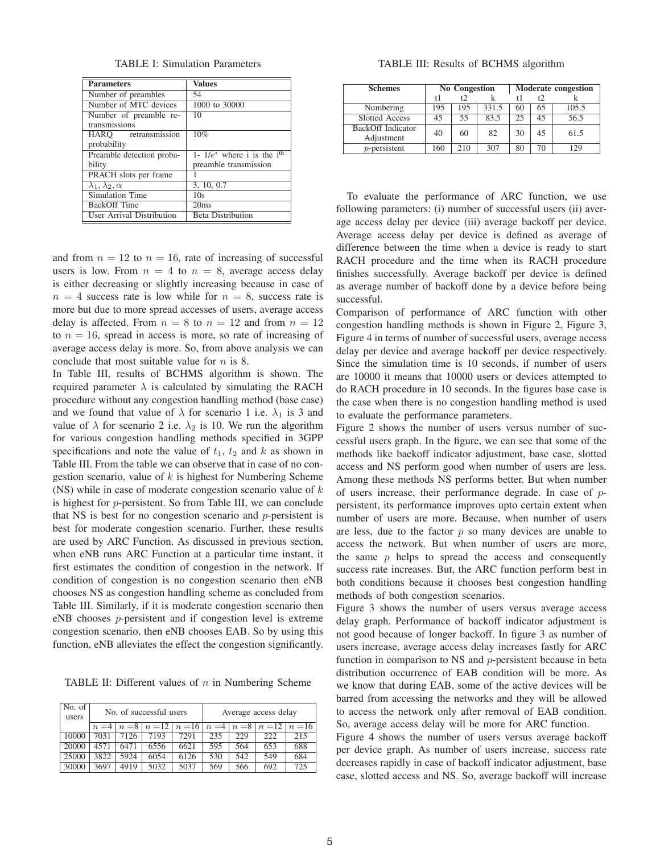TABLE I: Simulation Parameters

| <b>Parameters</b>                | <b>Values</b>                             |  |  |  |  |
|----------------------------------|-------------------------------------------|--|--|--|--|
| Number of preambles              | 54                                        |  |  |  |  |
| Number of MTC devices            | 1000 to 30000                             |  |  |  |  |
| Number of preamble re-           | 10                                        |  |  |  |  |
| transmissions                    |                                           |  |  |  |  |
| HARO retransmission              | 10%                                       |  |  |  |  |
| probability                      |                                           |  |  |  |  |
| Preamble detection proba-        | 1- $1/e^i$ where i is the i <sup>th</sup> |  |  |  |  |
| bility                           | preamble transmission                     |  |  |  |  |
| PRACH slots per frame            |                                           |  |  |  |  |
| $\lambda_1, \lambda_2, \alpha$   | $\overline{3, 10, 0.7}$                   |  |  |  |  |
| Simulation Time                  | 10s                                       |  |  |  |  |
| BackOff Time                     | 20ms                                      |  |  |  |  |
| <b>User Arrival Distribution</b> | <b>Beta Distribution</b>                  |  |  |  |  |

and from  $n = 12$  to  $n = 16$ , rate of increasing of successful users is low. From  $n = 4$  to  $n = 8$ , average access delay is either decreasing or slightly increasing because in case of  $n = 4$  success rate is low while for  $n = 8$ , success rate is more but due to more spread accesses of users, average access delay is affected. From  $n = 8$  to  $n = 12$  and from  $n = 12$ to  $n = 16$ , spread in access is more, so rate of increasing of average access delay is more. So, from above analysis we can conclude that most suitable value for  $n$  is 8.

In Table III, results of BCHMS algorithm is shown. The required parameter  $\lambda$  is calculated by simulating the RACH procedure without any congestion handling method (base case) and we found that value of  $\lambda$  for scenario 1 i.e.  $\lambda_1$  is 3 and value of  $\lambda$  for scenario 2 i.e.  $\lambda_2$  is 10. We run the algorithm for various congestion handling methods specified in 3GPP specifications and note the value of  $t_1$ ,  $t_2$  and k as shown in Table III. From the table we can observe that in case of no congestion scenario, value of  $k$  is highest for Numbering Scheme (NS) while in case of moderate congestion scenario value of  $k$ is highest for p-persistent. So from Table III, we can conclude that NS is best for no congestion scenario and  $p$ -persistent is best for moderate congestion scenario. Further, these results are used by ARC Function. As discussed in previous section, when eNB runs ARC Function at a particular time instant, it first estimates the condition of congestion in the network. If condition of congestion is no congestion scenario then eNB chooses NS as congestion handling scheme as concluded from Table III. Similarly, if it is moderate congestion scenario then eNB chooses p-persistent and if congestion level is extreme congestion scenario, then eNB chooses EAB. So by using this function, eNB alleviates the effect the congestion significantly.

TABLE II: Different values of  $n$  in Numbering Scheme

| No. of<br>users |       |      | No. of successful users              |      | Average access delay |     |                            |          |
|-----------------|-------|------|--------------------------------------|------|----------------------|-----|----------------------------|----------|
|                 | $n=4$ |      | $n = 8 \mid n = 12 \mid n = 16 \mid$ |      |                      |     | $n = 4   n = 8   n = 12  $ | $n = 16$ |
| 10000           | 7031  | 7126 | 7193                                 | 7291 | 235                  | 229 | 222                        | 215      |
| 20000           | 4571  | 6471 | 6556                                 | 6621 | 595                  | 564 | 653                        | 688      |
| 25000           | 3822  | 5924 | 6054                                 | 6126 | 530                  | 542 | 549                        | 684      |
| 30000           | 3697  | 4919 | 5032                                 | 5037 | 569                  | 566 | 692                        | 725      |

TABLE III: Results of BCHMS algorithm

| <b>Schemes</b>                         |     | <b>No Congestion</b> |       | <b>Moderate congestion</b> |    |       |  |
|----------------------------------------|-----|----------------------|-------|----------------------------|----|-------|--|
|                                        | t 1 |                      |       |                            | t  |       |  |
| Numbering                              | 195 | 195                  | 331.5 | 60                         | 65 | 105.5 |  |
| Slotted Access                         | 45  | 55                   | 83.5  | 25                         | 45 | 56.5  |  |
| <b>BackOff</b> Indicator<br>Adjustment | 40  | 60                   | 82    | 30                         | 45 | 61.5  |  |
| $p$ -persistent                        | 160 | 210                  | 307   | 80                         | 70 | 29    |  |

To evaluate the performance of ARC function, we use following parameters: (i) number of successful users (ii) average access delay per device (iii) average backoff per device. Average access delay per device is defined as average of difference between the time when a device is ready to start RACH procedure and the time when its RACH procedure finishes successfully. Average backoff per device is defined as average number of backoff done by a device before being successful.

Comparison of performance of ARC function with other congestion handling methods is shown in Figure 2, Figure 3, Figure 4 in terms of number of successful users, average access delay per device and average backoff per device respectively. Since the simulation time is 10 seconds, if number of users are 10000 it means that 10000 users or devices attempted to do RACH procedure in 10 seconds. In the figures base case is the case when there is no congestion handling method is used to evaluate the performance parameters.

Figure 2 shows the number of users versus number of successful users graph. In the figure, we can see that some of the methods like backoff indicator adjustment, base case, slotted access and NS perform good when number of users are less. Among these methods NS performs better. But when number of users increase, their performance degrade. In case of ppersistent, its performance improves upto certain extent when number of users are more. Because, when number of users are less, due to the factor  $p$  so many devices are unable to access the network. But when number of users are more, the same  $p$  helps to spread the access and consequently success rate increases. But, the ARC function perform best in both conditions because it chooses best congestion handling methods of both congestion scenarios.

Figure 3 shows the number of users versus average access delay graph. Performance of backoff indicator adjustment is not good because of longer backoff. In figure 3 as number of users increase, average access delay increases fastly for ARC function in comparison to NS and  $p$ -persistent because in beta distribution occurrence of EAB condition will be more. As we know that during EAB, some of the active devices will be barred from accessing the networks and they will be allowed to access the network only after removal of EAB condition. So, average access delay will be more for ARC function.

Figure 4 shows the number of users versus average backoff per device graph. As number of users increase, success rate decreases rapidly in case of backoff indicator adjustment, base case, slotted access and NS. So, average backoff will increase